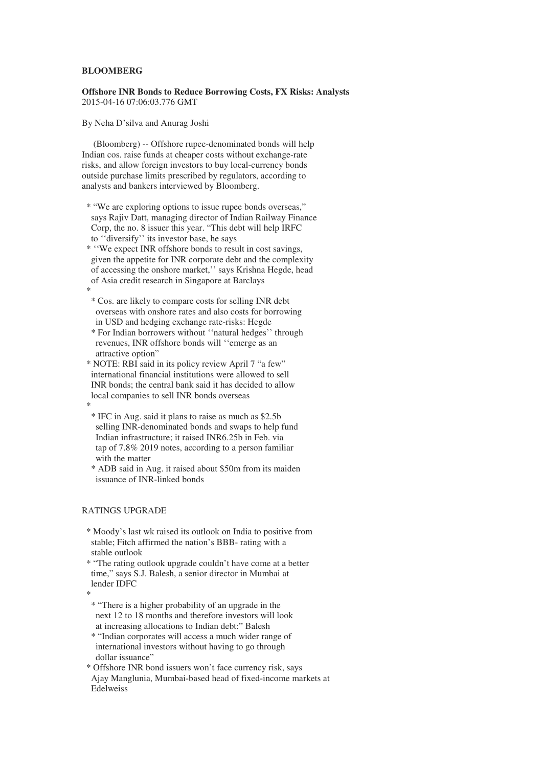## **BLOOMBERG**

## **Offshore INR Bonds to Reduce Borrowing Costs, FX Risks: Analysts**  2015-04-16 07:06:03.776 GMT

## By Neha D'silva and Anurag Joshi

 (Bloomberg) -- Offshore rupee-denominated bonds will help Indian cos. raise funds at cheaper costs without exchange-rate risks, and allow foreign investors to buy local-currency bonds outside purchase limits prescribed by regulators, according to analysts and bankers interviewed by Bloomberg.

 \* "We are exploring options to issue rupee bonds overseas," says Rajiv Datt, managing director of Indian Railway Finance Corp, the no. 8 issuer this year. "This debt will help IRFC to ''diversify'' its investor base, he says

 \* ''We expect INR offshore bonds to result in cost savings, given the appetite for INR corporate debt and the complexity of accessing the onshore market,'' says Krishna Hegde, head of Asia credit research in Singapore at Barclays \*

 \* Cos. are likely to compare costs for selling INR debt overseas with onshore rates and also costs for borrowing in USD and hedging exchange rate-risks: Hegde

 \* For Indian borrowers without ''natural hedges'' through revenues, INR offshore bonds will ''emerge as an attractive option"

 \* NOTE: RBI said in its policy review April 7 "a few" international financial institutions were allowed to sell INR bonds; the central bank said it has decided to allow local companies to sell INR bonds overseas \*

 \* IFC in Aug. said it plans to raise as much as \$2.5b selling INR-denominated bonds and swaps to help fund Indian infrastructure; it raised INR6.25b in Feb. via tap of 7.8% 2019 notes, according to a person familiar with the matter

 \* ADB said in Aug. it raised about \$50m from its maiden issuance of INR-linked bonds

## RATINGS UPGRADE

 \* Moody's last wk raised its outlook on India to positive from stable; Fitch affirmed the nation's BBB- rating with a stable outlook

 \* "The rating outlook upgrade couldn't have come at a better time," says S.J. Balesh, a senior director in Mumbai at lender IDFC

\*

 \* "There is a higher probability of an upgrade in the next 12 to 18 months and therefore investors will look at increasing allocations to Indian debt:" Balesh

 \* "Indian corporates will access a much wider range of international investors without having to go through dollar issuance"

 \* Offshore INR bond issuers won't face currency risk, says Ajay Manglunia, Mumbai-based head of fixed-income markets at Edelweiss